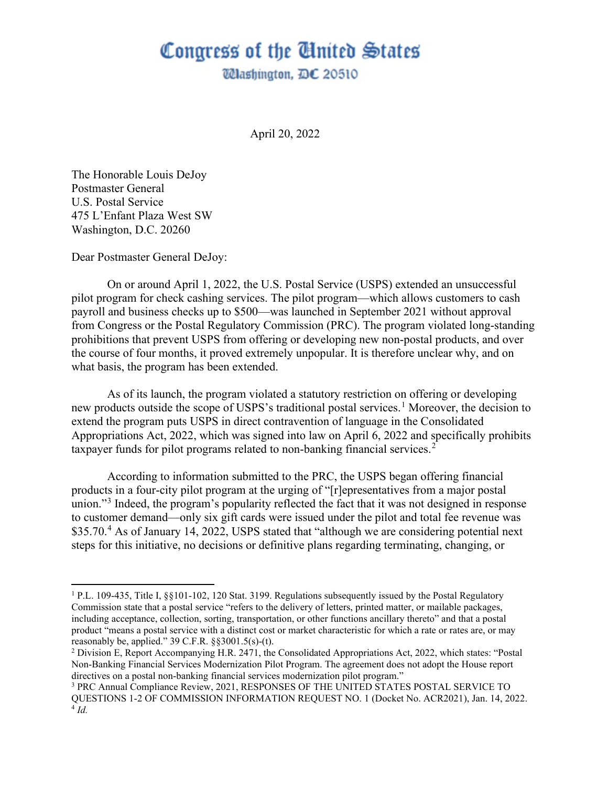## Congress of the United States

**Wlashington, DC 20510** 

April 20, 2022

The Honorable Louis DeJoy Postmaster General U.S. Postal Service 475 L'Enfant Plaza West SW Washington, D.C. 20260

Dear Postmaster General DeJoy:

On or around April 1, 2022, the U.S. Postal Service (USPS) extended an unsuccessful pilot program for check cashing services. The pilot program—which allows customers to cash payroll and business checks up to \$500—was launched in September 2021 without approval from Congress or the Postal Regulatory Commission (PRC). The program violated long-standing prohibitions that prevent USPS from offering or developing new non-postal products, and over the course of four months, it proved extremely unpopular. It is therefore unclear why, and on what basis, the program has been extended.

As of its launch, the program violated a statutory restriction on offering or developing new products outside the scope of USPS's traditional postal services.<sup>[1](#page-0-0)</sup> Moreover, the decision to extend the program puts USPS in direct contravention of language in the Consolidated Appropriations Act, 2022, which was signed into law on April 6, 2022 and specifically prohibits taxpayer funds for pilot programs related to non-banking financial services.<sup>[2](#page-0-1)</sup>

According to information submitted to the PRC, the USPS began offering financial products in a four-city pilot program at the urging of "[r]epresentatives from a major postal union."<sup>[3](#page-0-2)</sup> Indeed, the program's popularity reflected the fact that it was not designed in response to customer demand—only six gift cards were issued under the pilot and total fee revenue was \$35.70.<sup>[4](#page-0-3)</sup> As of January 14, 2022, USPS stated that "although we are considering potential next steps for this initiative, no decisions or definitive plans regarding terminating, changing, or

<span id="page-0-0"></span><sup>1</sup> P.L. 109-435, Title I, §§101-102, 120 Stat. 3199. Regulations subsequently issued by the Postal Regulatory Commission state that a postal service "refers to the delivery of letters, printed matter, or mailable packages, including acceptance, collection, sorting, transportation, or other functions ancillary thereto" and that a postal product "means a postal service with a distinct cost or market characteristic for which a rate or rates are, or may reasonably be, applied."  $39 \text{ C.F.R. }$  §§ $3001.5$ (s)-(t).

<span id="page-0-1"></span><sup>2</sup> Division E, Report Accompanying H.R. 2471, the Consolidated Appropriations Act, 2022, which states: "Postal Non-Banking Financial Services Modernization Pilot Program. The agreement does not adopt the House report directives on a postal non-banking financial services modernization pilot program."

<span id="page-0-3"></span><span id="page-0-2"></span><sup>3</sup> PRC Annual Compliance Review, 2021, RESPONSES OF THE UNITED STATES POSTAL SERVICE TO QUESTIONS 1-2 OF COMMISSION INFORMATION REQUEST NO. 1 (Docket No. ACR2021), Jan. 14, 2022. 4 *Id.*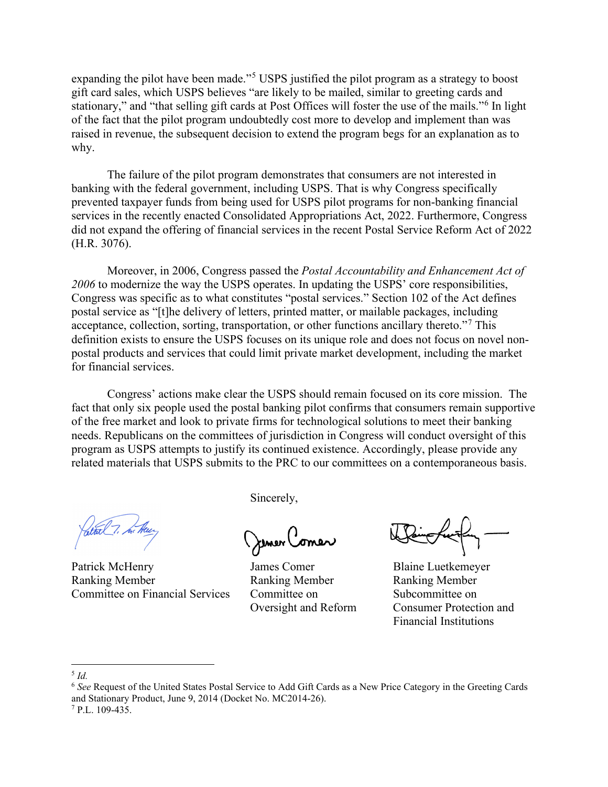expanding the pilot have been made."<sup>[5](#page-1-0)</sup> USPS justified the pilot program as a strategy to boost gift card sales, which USPS believes "are likely to be mailed, similar to greeting cards and stationary," and "that selling gift cards at Post Offices will foster the use of the mails."<sup>[6](#page-1-1)</sup> In light of the fact that the pilot program undoubtedly cost more to develop and implement than was raised in revenue, the subsequent decision to extend the program begs for an explanation as to why.

The failure of the pilot program demonstrates that consumers are not interested in banking with the federal government, including USPS. That is why Congress specifically prevented taxpayer funds from being used for USPS pilot programs for non-banking financial services in the recently enacted Consolidated Appropriations Act, 2022. Furthermore, Congress did not expand the offering of financial services in the recent Postal Service Reform Act of 2022 (H.R. 3076).

Moreover, in 2006, Congress passed the *Postal Accountability and Enhancement Act of 2006* to modernize the way the USPS operates. In updating the USPS' core responsibilities, Congress was specific as to what constitutes "postal services." Section 102 of the Act defines postal service as "[t]he delivery of letters, printed matter, or mailable packages, including acceptance, collection, sorting, transportation, or other functions ancillary thereto."[7](#page-1-2) This definition exists to ensure the USPS focuses on its unique role and does not focus on novel nonpostal products and services that could limit private market development, including the market for financial services.

Congress' actions make clear the USPS should remain focused on its core mission. The fact that only six people used the postal banking pilot confirms that consumers remain supportive of the free market and look to private firms for technological solutions to meet their banking needs. Republicans on the committees of jurisdiction in Congress will conduct oversight of this program as USPS attempts to justify its continued existence. Accordingly, please provide any related materials that USPS submits to the PRC to our committees on a contemporaneous basis.

Patrick McHenry James Comer Blaine Luetkemeyer Ranking Member Ranking Member Ranking Member Committee on Financial Services Committee on Subcommittee on

Sincerely,

Jemer Comer

Oversight and Reform Consumer Protection and Financial Institutions

<span id="page-1-0"></span><sup>5</sup> *Id.*

<span id="page-1-1"></span><sup>6</sup> *See* Request of the United States Postal Service to Add Gift Cards as a New Price Category in the Greeting Cards and Stationary Product, June 9, 2014 (Docket No. MC2014-26).

<span id="page-1-2"></span><sup>7</sup> P.L. 109-435.